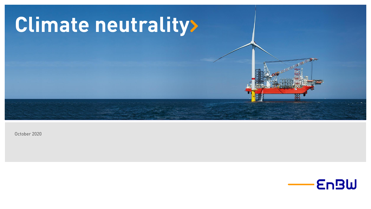

October 2020

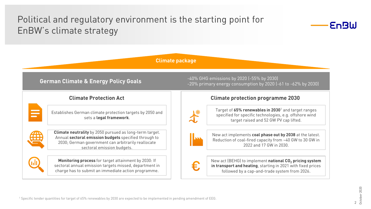# Political and regulatory environment is the starting point for EnBW's climate strategy



**Climate package**

### **German Climate & Energy Policy Goals**

#### **Climate Protection Act**



Establishes German climate protection targets by 2050 and sets a **legal framework**.



**Climate neutrality** by 2050 pursued as long-term target. Annual **sectoral emission budgets** specified through to 2030; German government can arbitrarily reallocate sectoral emission budgets.



**Monitoring process** for target attainment by 2030: If sectoral annual emission targets missed, department in charge has to submit an immediate action programme.

-40% GHG emissions by 2020 (-55% by 2030) -20% primary energy consumption by 2020 (-61 to -62% by 2030)

#### **Climate protection programme 2030**



Target of **65% renewables in 2030**<sup>1</sup> and target ranges specified for specific technologies, e.g. offshore wind target raised and 52 GW PV cap lifted.

€.

New act implements **coal phase out by 2038** at the latest. Reduction of coal-fired capacity from ~40 GW to 30 GW in 2022 and 17 GW in 2030.

New act (BEHG) to implement **national CO<sup>2</sup> pricing system in transport and heating**, starting in 2021 with fixed prices followed by a cap-and-trade system from 2026.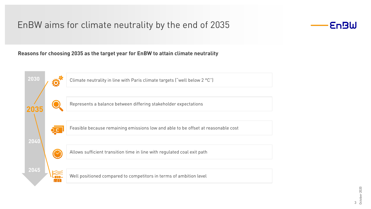# EnBW aims for climate neutrality by the end of 2035



#### **Reasons for choosing 2035 as the target year for EnBW to attain climate neutrality**

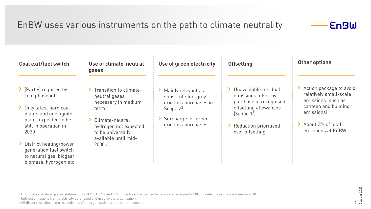# EnBW uses various instruments on the path to climate neutrality



#### **Coal exit/fuel switch**

- > (Partly) required by coal phaseout
- > Only latest hard coal plants and one lignite plant<sup>1</sup> expected to be still in operation in 2030
- > District heating/power generation fuel switch to natural gas, biogas/ biomass, hydrogen etc.

#### **Use of climate-neutral gases**

- > Transition to climateneutral gases necessary in medium term
- > Climate-neutral hydrogen not expected to be universally available until mid-2030s
- **Use of green electricity**
- > Mainly relevant as substitute for 'grey' grid loss purchases in Scope  $2^2$
- > Surcharge for green grid loss purchases
- **Offsetting**
- › Unavoidable residual emissions offset by purchase of recognised offsetting allowances (Scope 1<sup>3</sup> )
- > Reduction prioritised over offsetting

### **Other options**

- > Action package to avoid relatively small-scale emissions (such as canteen and building emissions)
- > About 2% of total emissions at EnBW

- <sup>1</sup> Of EnBW's coal-fired power stations, only RDK8, GKM9 and LIP currently still expected to be in service beyond 2030, plus electricity from Walsum in 2030
- 2 Indirect emissions from electricity purchased and used by the organisation.
- <sup>3</sup> All direct emissions from the activities of an organisation or under their control.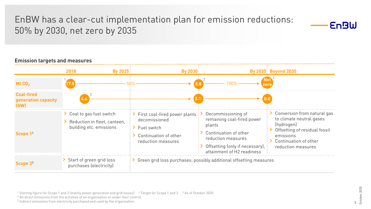# EnBW has a clear-cut implementation plan for emission reductions: 50% by 2030, net zero by 2035



#### **By 2025 By 2030 By 2035 Beyond 2035 2018 Mt CO<sup>2</sup> 17.5 8.8** > Start of green grid loss purchases (electricity) > Coal to gas fuel switch > Reduction in fleet, canteen, building etc. emissions **Scope 1** 4 **Scope 2** 5 > First coal-fired power plants decomissioned > Fuel switch Continuation of other reduction measures > Green grid loss purchases; possibly additional offsetting measures Decommissioning of remaining coal-fired power plants Continuation of other reduction measures Offsetting (only if necessary), attainment of H2 readiness › Conversion from natural gas to climate neutral gases (hydrogen) > Offsetting of residual fossil emissions > Continuation of other reduction measures  $-50\%$  -100% 1 **Net Net Net Net Net zero** 2 2 **Coal-fired generation capacity (GW) 4.6 2.1 0.0** 3

#### **Emission targets and measures**

<sup>1</sup> Starting figure for Scope 1 and 2 (mainly power generation and grid losses) <sup>2</sup> Target for Scope 1 and 2 <sup>3</sup> As of October 2020

<sup>4</sup> All direct emissions from the activities of an organisation or under their control.

<sup>5</sup> Indirect emissions from electricity purchased and used by the organisation.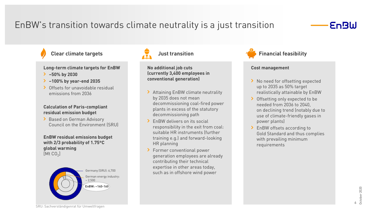# EnBW's transition towards climate neutrality is a just transition

## **EnBW**

**Long-term climate targets for EnBW**

- › **–50% by 2030**
- › **–100% by year-end 2035**
- > Offsets for unavoidable residual emissions from 2036

#### **Calculation of Paris-compliant residual emission budget**

> Based on German Advisory Council on the Environment (SRU)

#### **EnBW residual emissions budget with 2/3 probability of 1.75**°**C global warming** [Mt CO $_2$ ]





**No additional job cuts (currently 3,400 employees in conventional generation)**

- > Attaining EnBW climate neutrality by 2035 does not mean decommissioning coal-fired power plants in excess of the statutory decommissioning path
- › EnBW delivers on its social responsibility in the exit from coal: suitable HR instruments (further training e.g.) and forward-looking HR planning
- › Former conventional power generation employees are already contributing their technical expertise in other areas today, such as in offshore wind power



#### **Cost management**

- > No need for offsetting expected up to 2035 as 50% target realistically attainable by EnBW
- > Offsetting only expected to be needed from 2036 to 2040, on declining trend (notably due to use of climate-friendly gases in power plants)
- > EnBW offsets according to Gold Standard and thus complies with prevailing minimum requirements

October 2020 October 20206

SRU: Sachverständigenrat für Umweltfragen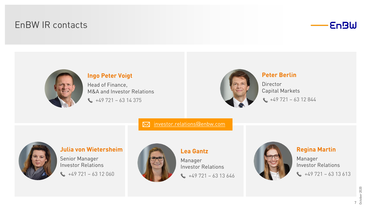# EnBW IR contacts





## **Ingo Peter Voigt** Head of Finance,

M&A and Investor Relations  $\leftarrow$  +49 721 – 63 14 375



### **Peter Berlin**

Director Capital Markets  $\leftrightarrow$  +49 721 – 63 12 844

[investor.relations@enbw.com](mailto:i.voigt@enbw.com)  $\nabla$ 



#### **Julia von Wietersheim**

Senior Manager Investor Relations  $\star$  +49 721 – 63 12 060



### **Lea Gantz**

Manager Investor Relations  $\leftarrow$  +49 721 – 63 13 646



### **Regina Martin**

Manager Investor Relations  $\leftrightarrow$  +49 721 – 63 13 613

> $rac{1}{2}$ <br>October 2020 October 2020